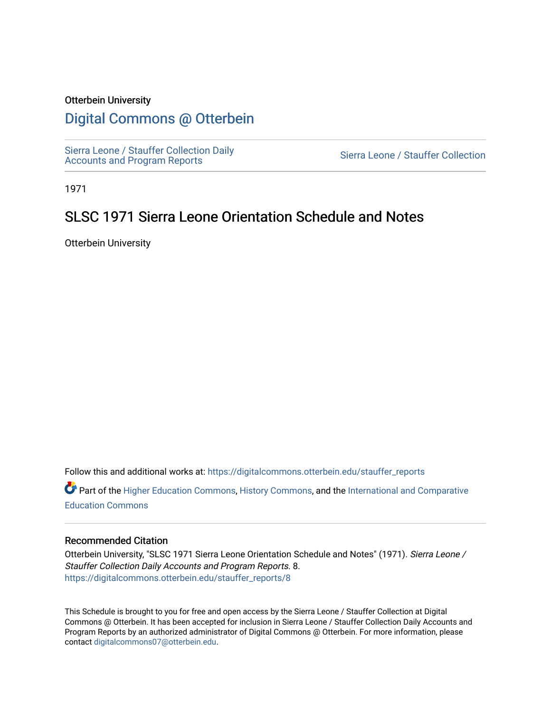### Otterbein University

## [Digital Commons @ Otterbein](https://digitalcommons.otterbein.edu/)

[Sierra Leone / Stauffer Collection Daily](https://digitalcommons.otterbein.edu/stauffer_reports) Sierra Leone / Stauffer Collection Daily<br>[Accounts and Program Reports](https://digitalcommons.otterbein.edu/stauffer_reports) Sierra Leone / Stauffer Collection

1971

# SLSC 1971 Sierra Leone Orientation Schedule and Notes

Otterbein University

Follow this and additional works at: [https://digitalcommons.otterbein.edu/stauffer\\_reports](https://digitalcommons.otterbein.edu/stauffer_reports?utm_source=digitalcommons.otterbein.edu%2Fstauffer_reports%2F8&utm_medium=PDF&utm_campaign=PDFCoverPages)

 $\bullet$  Part of the [Higher Education Commons,](http://network.bepress.com/hgg/discipline/1245?utm_source=digitalcommons.otterbein.edu%2Fstauffer_reports%2F8&utm_medium=PDF&utm_campaign=PDFCoverPages) [History Commons,](http://network.bepress.com/hgg/discipline/489?utm_source=digitalcommons.otterbein.edu%2Fstauffer_reports%2F8&utm_medium=PDF&utm_campaign=PDFCoverPages) and the International and Comparative [Education Commons](http://network.bepress.com/hgg/discipline/797?utm_source=digitalcommons.otterbein.edu%2Fstauffer_reports%2F8&utm_medium=PDF&utm_campaign=PDFCoverPages) 

#### Recommended Citation

Otterbein University, "SLSC 1971 Sierra Leone Orientation Schedule and Notes" (1971). Sierra Leone / Stauffer Collection Daily Accounts and Program Reports. 8. [https://digitalcommons.otterbein.edu/stauffer\\_reports/8](https://digitalcommons.otterbein.edu/stauffer_reports/8?utm_source=digitalcommons.otterbein.edu%2Fstauffer_reports%2F8&utm_medium=PDF&utm_campaign=PDFCoverPages)

This Schedule is brought to you for free and open access by the Sierra Leone / Stauffer Collection at Digital Commons @ Otterbein. It has been accepted for inclusion in Sierra Leone / Stauffer Collection Daily Accounts and Program Reports by an authorized administrator of Digital Commons @ Otterbein. For more information, please contact [digitalcommons07@otterbein.edu.](mailto:digitalcommons07@otterbein.edu)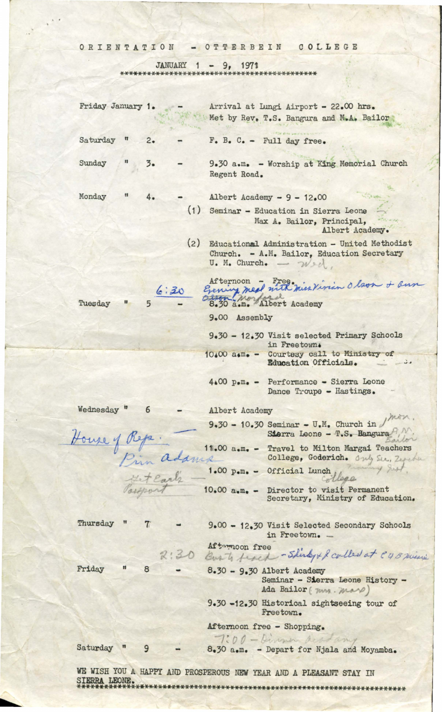### ORIENTATION - OTTERBEIN COLLEGE

 $\sqrt{2}$ 

JANUARY 1 - 9, 1971

| Friday January 1.             |     |      |      | Arrival at Lungi Airport - 22.00 hrs.<br>Met by Rev. T.S. Bangura and M.A. Bailor                                                     |
|-------------------------------|-----|------|------|---------------------------------------------------------------------------------------------------------------------------------------|
| Saturday<br>$^{\prime\prime}$ | 2.  |      |      | $F_e$ B. $C_e$ - Full day free.                                                                                                       |
| Sunday                        | 3.5 |      |      | 9.30 a.m. - Worship at King Memorial Church<br>Regent Road.                                                                           |
| Monday                        |     |      |      | Albert Academy $-9 - 12.00$                                                                                                           |
|                               |     |      | (1)  | Seminar - Education in Sierra Leone<br>Max A. Bailor, Principal,<br>Albert Academy.                                                   |
|                               |     |      | (2)  | Educational Administration - United Methodist<br>Church. - A.M. Bailor, Education Secretary<br>$U_{\bullet}$ M. Church. $W_{\bullet}$ |
| Tuesday                       |     | 6:30 |      | Afternoon - Free, miss Vivian Olson + ann<br>Citon<br>8.30 a.m. Albert Academy                                                        |
|                               |     |      |      | 9.00 Assembly                                                                                                                         |
|                               |     |      |      | 9.30 - 12.30 Visit selected Primary Schools<br>in Freetown.                                                                           |
|                               |     |      |      | 10.00 a.m. - Courtesy call to Ministry of<br>Education Officials.<br>$\overline{\phantom{a}}$                                         |
|                               |     |      |      | 4.00 p.m. - Performance - Sierra Leone<br>Dance Troupe - Hastings.                                                                    |
| Wednesday <sup>"</sup>        | 6   |      |      | Albert Academy                                                                                                                        |
| House of Reps.                |     |      |      | 9.30 - 10.30 Seminar - U.M. Church in<br>Sierra Leone - T.S. Bangura                                                                  |
|                               |     |      |      | 11.00 a.m. - Travel to Milton Margai Teachers<br>College, Goderich. Only Sec., Zeventure                                              |
|                               |     |      |      | Pim adams college, Goderich<br># Earl's 1.00 p.m. - Official Lunch<br>College                                                         |
|                               |     |      |      | Castport 10.00 a.m. - Director to visit Permanent<br>Secretary, Ministry of Education.                                                |
| Thursday                      |     |      |      | 9.00 - 12.30 Visit Selected Secondary Schools<br>in Freetown. -                                                                       |
|                               |     |      | 2:30 | Aftermoon free<br>Bust frack - Shirty + & colled at CUB minim                                                                         |
| Friday                        | 8   |      |      | $8.30 - 9.30$ Albert Academy<br>Seminar - Sierra Leone History -<br>Ada Bailor (mm. mars)                                             |
|                               |     |      |      | 9.30 -12.30 Historical sightseeing tour of<br>Freetown.                                                                               |
|                               |     |      |      | Afternoon free - Shopping.                                                                                                            |
| Saturday                      |     |      |      | 7:00 - Dinner acadamy<br>8.30 a.m. - Depart for Njala and Moyamba.                                                                    |
| SIERRA LEONE.                 |     |      |      | WE WISH YOU A HAPPY AND PROSPEROUS NEW YEAR AND A PLEASANT STAY IN                                                                    |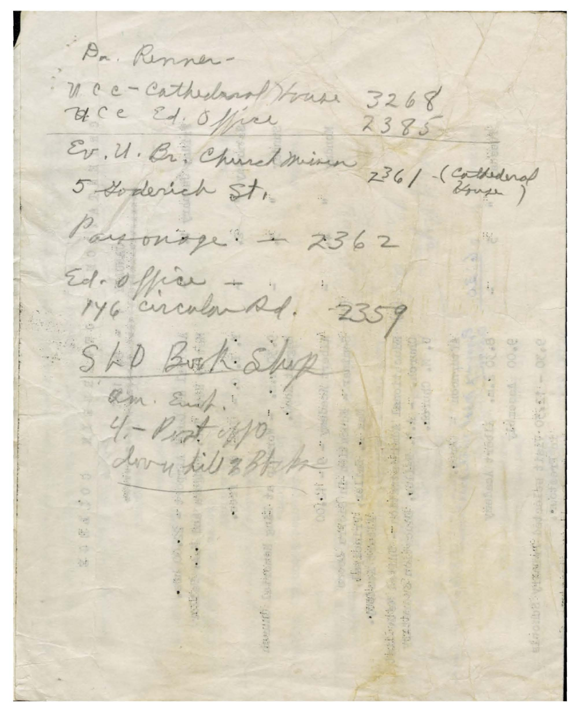Dr. Renner-V. C c - Cathedral House 3268 HCC Ed. Office  $2385$ Ev. U. Br. Churchminen 236/ (Enthedra) Payonage 2 2362 Ed. office - 2359 SLD Book Slup am and.  $4 - \nu$  of off dovy til 2 Bt he 源